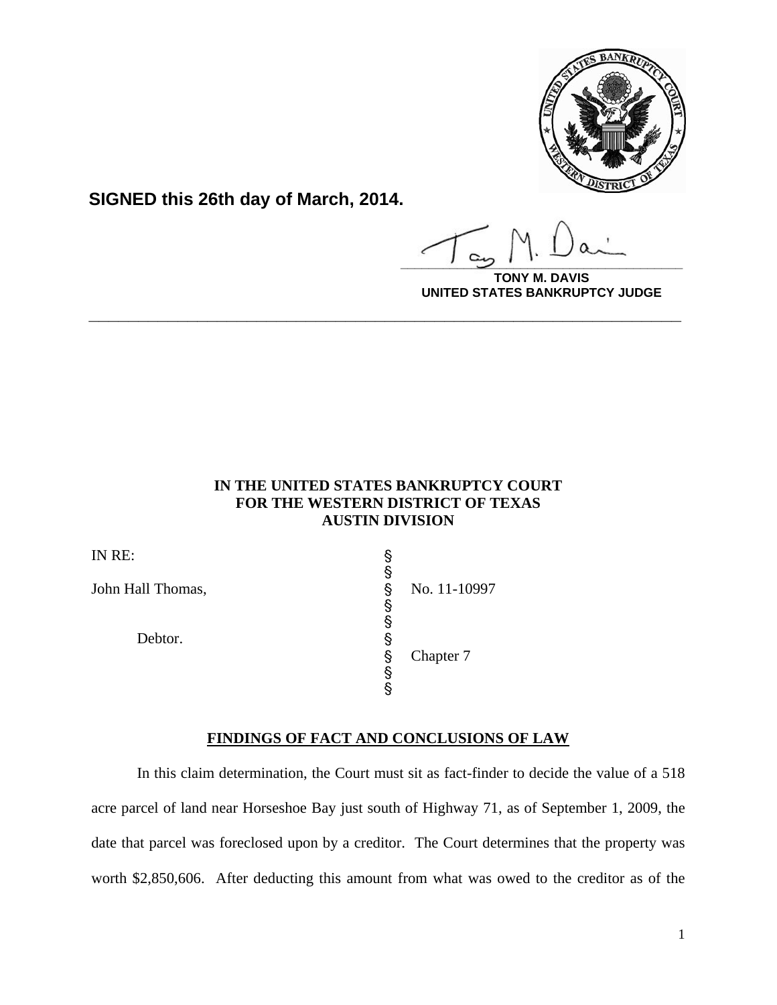

**SIGNED this 26th day of March, 2014.**

**\_\_\_\_\_\_\_\_\_\_\_\_\_\_\_\_\_\_\_\_\_\_\_\_\_\_\_\_\_\_\_\_\_\_\_\_\_\_\_\_**

**DAVIS UNITED STATES BANKRUPTCY JUDGE**

# **IN THE UNITED STATES BANKRUPTCY COURT FOR THE WESTERN DISTRICT OF TEXAS AUSTIN DIVISION**

**\_\_\_\_\_\_\_\_\_\_\_\_\_\_\_\_\_\_\_\_\_\_\_\_\_\_\_\_\_\_\_\_\_\_\_\_\_\_\_\_\_\_\_\_\_\_\_\_\_\_\_\_\_\_\_\_\_\_\_\_**

| IN RE:            |   |              |
|-------------------|---|--------------|
| John Hall Thomas, | ş | No. 11-10997 |
|                   |   |              |
| Debtor.           | § | Chapter 7    |
|                   |   |              |

# **FINDINGS OF FACT AND CONCLUSIONS OF LAW**

In this claim determination, the Court must sit as fact-finder to decide the value of a 518 acre parcel of land near Horseshoe Bay just south of Highway 71, as of September 1, 2009, the date that parcel was foreclosed upon by a creditor. The Court determines that the property was worth \$2,850,606. After deducting this amount from what was owed to the creditor as of the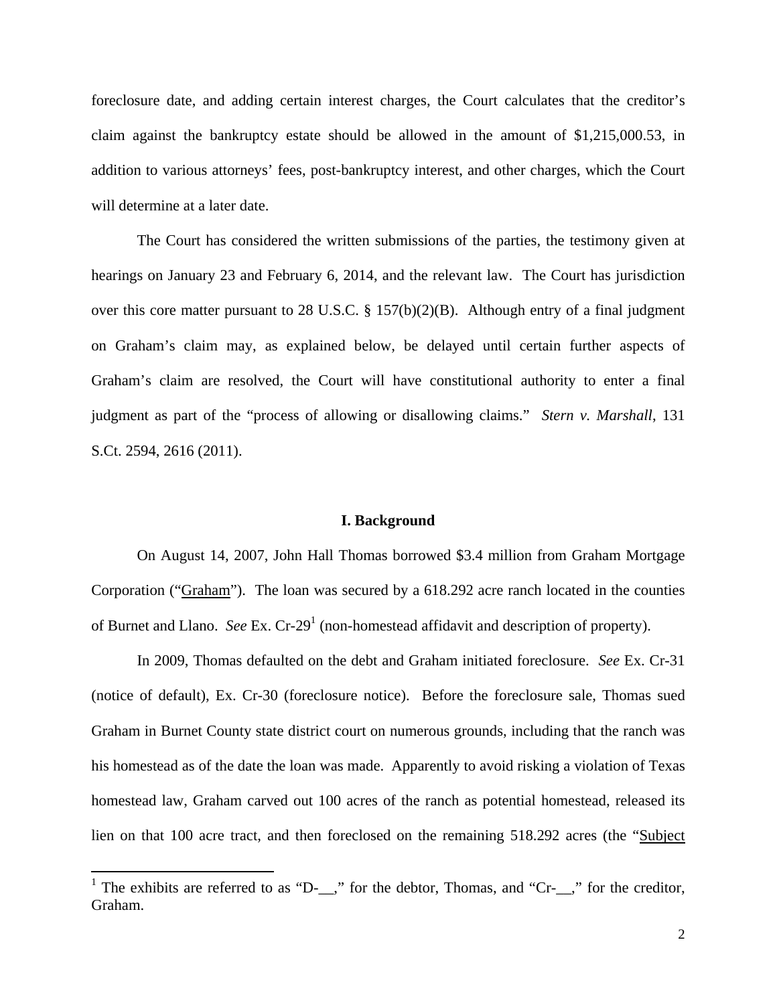foreclosure date, and adding certain interest charges, the Court calculates that the creditor's claim against the bankruptcy estate should be allowed in the amount of \$1,215,000.53, in addition to various attorneys' fees, post-bankruptcy interest, and other charges, which the Court will determine at a later date.

The Court has considered the written submissions of the parties, the testimony given at hearings on January 23 and February 6, 2014, and the relevant law. The Court has jurisdiction over this core matter pursuant to 28 U.S.C. § 157(b)(2)(B). Although entry of a final judgment on Graham's claim may, as explained below, be delayed until certain further aspects of Graham's claim are resolved, the Court will have constitutional authority to enter a final judgment as part of the "process of allowing or disallowing claims." *Stern v. Marshall*, 131 S.Ct. 2594, 2616 (2011).

#### **I. Background**

On August 14, 2007, John Hall Thomas borrowed \$3.4 million from Graham Mortgage Corporation ("Graham"). The loan was secured by a 618.292 acre ranch located in the counties of Burnet and Llano. *See* Ex. Cr-29<sup>1</sup> (non-homestead affidavit and description of property).

In 2009, Thomas defaulted on the debt and Graham initiated foreclosure. *See* Ex. Cr-31 (notice of default), Ex. Cr-30 (foreclosure notice). Before the foreclosure sale, Thomas sued Graham in Burnet County state district court on numerous grounds, including that the ranch was his homestead as of the date the loan was made. Apparently to avoid risking a violation of Texas homestead law, Graham carved out 100 acres of the ranch as potential homestead, released its lien on that 100 acre tract, and then foreclosed on the remaining 518.292 acres (the "Subject

<sup>&</sup>lt;sup>1</sup> The exhibits are referred to as "D-<sub>\_\_</sub>," for the debtor, Thomas, and "Cr-<sub>\_\_</sub>," for the creditor, Graham.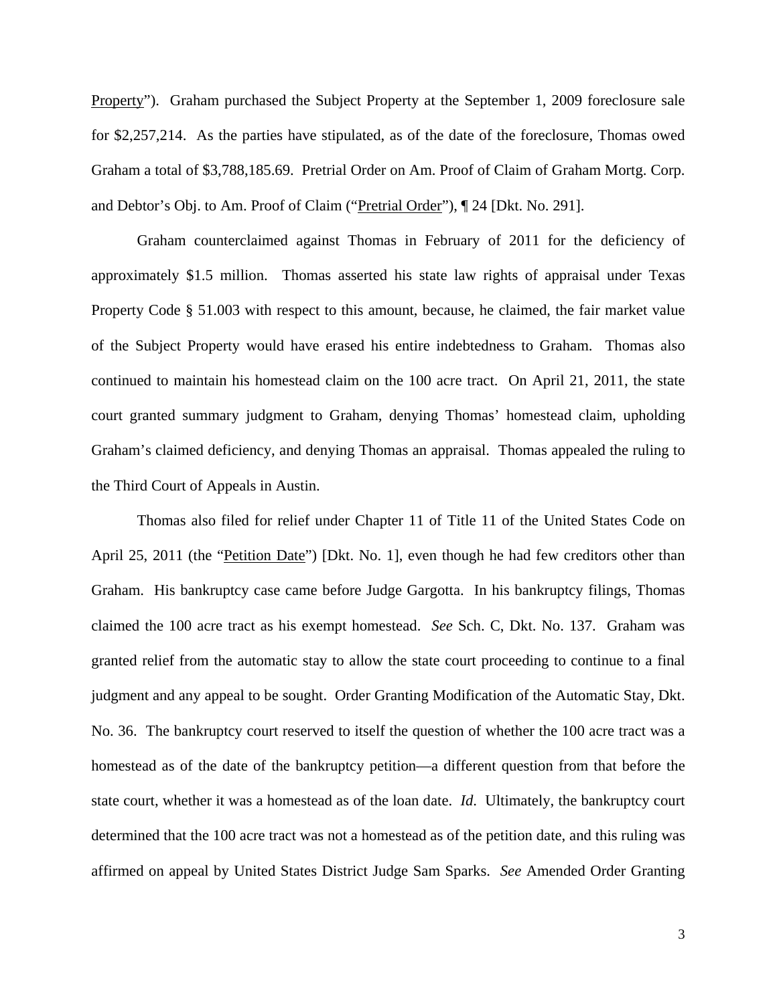Property"). Graham purchased the Subject Property at the September 1, 2009 foreclosure sale for \$2,257,214. As the parties have stipulated, as of the date of the foreclosure, Thomas owed Graham a total of \$3,788,185.69. Pretrial Order on Am. Proof of Claim of Graham Mortg. Corp. and Debtor's Obj. to Am. Proof of Claim ("Pretrial Order"), ¶ 24 [Dkt. No. 291].

Graham counterclaimed against Thomas in February of 2011 for the deficiency of approximately \$1.5 million. Thomas asserted his state law rights of appraisal under Texas Property Code § 51.003 with respect to this amount, because, he claimed, the fair market value of the Subject Property would have erased his entire indebtedness to Graham. Thomas also continued to maintain his homestead claim on the 100 acre tract. On April 21, 2011, the state court granted summary judgment to Graham, denying Thomas' homestead claim, upholding Graham's claimed deficiency, and denying Thomas an appraisal. Thomas appealed the ruling to the Third Court of Appeals in Austin.

Thomas also filed for relief under Chapter 11 of Title 11 of the United States Code on April 25, 2011 (the "<u>Petition Date</u>") [Dkt. No. 1], even though he had few creditors other than Graham. His bankruptcy case came before Judge Gargotta. In his bankruptcy filings, Thomas claimed the 100 acre tract as his exempt homestead. *See* Sch. C, Dkt. No. 137. Graham was granted relief from the automatic stay to allow the state court proceeding to continue to a final judgment and any appeal to be sought. Order Granting Modification of the Automatic Stay, Dkt. No. 36. The bankruptcy court reserved to itself the question of whether the 100 acre tract was a homestead as of the date of the bankruptcy petition—a different question from that before the state court, whether it was a homestead as of the loan date. *Id*. Ultimately, the bankruptcy court determined that the 100 acre tract was not a homestead as of the petition date, and this ruling was affirmed on appeal by United States District Judge Sam Sparks. *See* Amended Order Granting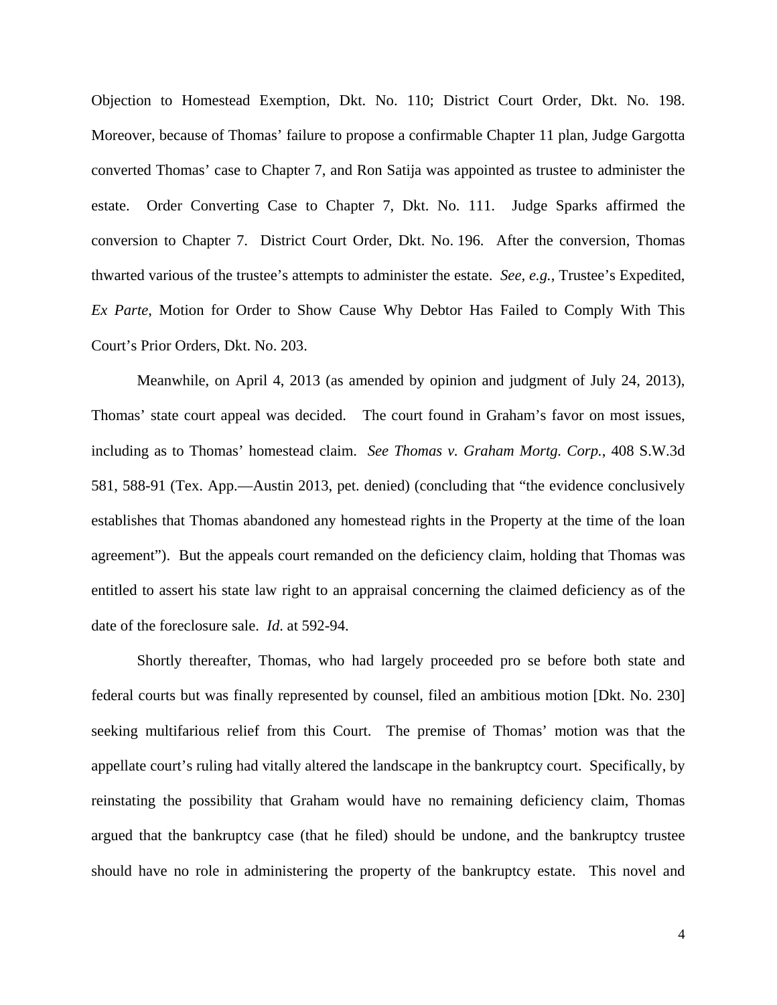Objection to Homestead Exemption, Dkt. No. 110; District Court Order, Dkt. No. 198. Moreover, because of Thomas' failure to propose a confirmable Chapter 11 plan, Judge Gargotta converted Thomas' case to Chapter 7, and Ron Satija was appointed as trustee to administer the estate. Order Converting Case to Chapter 7, Dkt. No. 111. Judge Sparks affirmed the conversion to Chapter 7. District Court Order, Dkt. No. 196. After the conversion, Thomas thwarted various of the trustee's attempts to administer the estate. *See, e.g.*, Trustee's Expedited, *Ex Parte*, Motion for Order to Show Cause Why Debtor Has Failed to Comply With This Court's Prior Orders, Dkt. No. 203.

Meanwhile, on April 4, 2013 (as amended by opinion and judgment of July 24, 2013), Thomas' state court appeal was decided. The court found in Graham's favor on most issues, including as to Thomas' homestead claim. *See Thomas v. Graham Mortg. Corp.*, 408 S.W.3d 581, 588-91 (Tex. App.—Austin 2013, pet. denied) (concluding that "the evidence conclusively establishes that Thomas abandoned any homestead rights in the Property at the time of the loan agreement"). But the appeals court remanded on the deficiency claim, holding that Thomas was entitled to assert his state law right to an appraisal concerning the claimed deficiency as of the date of the foreclosure sale. *Id*. at 592-94.

Shortly thereafter, Thomas, who had largely proceeded pro se before both state and federal courts but was finally represented by counsel, filed an ambitious motion [Dkt. No. 230] seeking multifarious relief from this Court. The premise of Thomas' motion was that the appellate court's ruling had vitally altered the landscape in the bankruptcy court. Specifically, by reinstating the possibility that Graham would have no remaining deficiency claim, Thomas argued that the bankruptcy case (that he filed) should be undone, and the bankruptcy trustee should have no role in administering the property of the bankruptcy estate. This novel and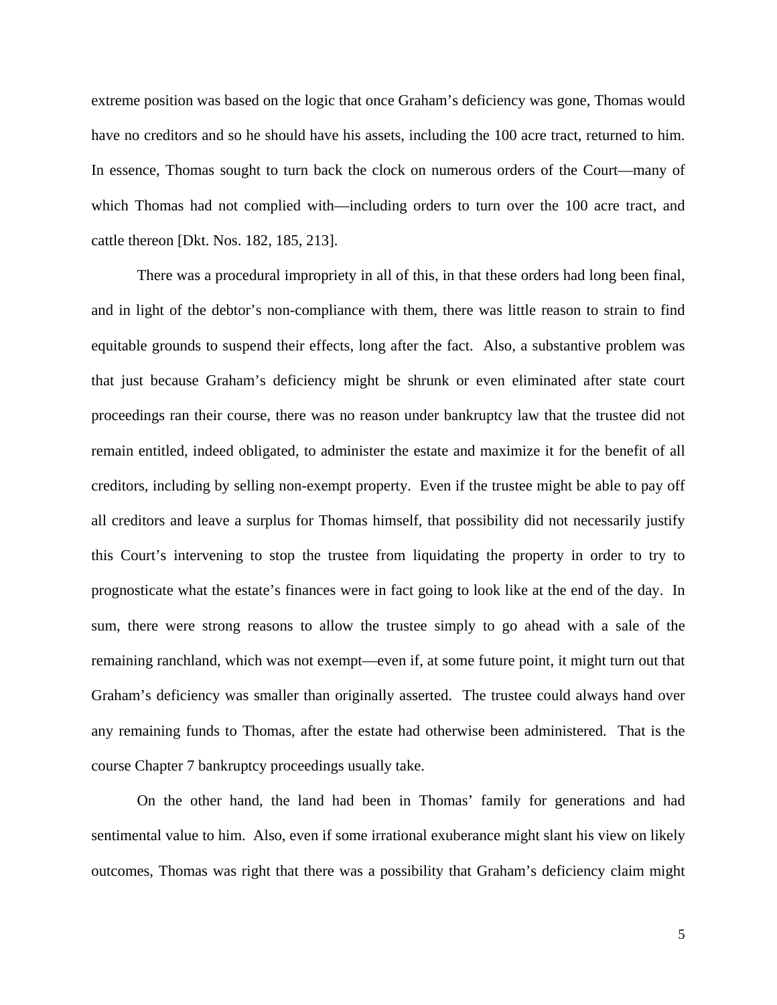extreme position was based on the logic that once Graham's deficiency was gone, Thomas would have no creditors and so he should have his assets, including the 100 acre tract, returned to him. In essence, Thomas sought to turn back the clock on numerous orders of the Court—many of which Thomas had not complied with—including orders to turn over the 100 acre tract, and cattle thereon [Dkt. Nos. 182, 185, 213].

There was a procedural impropriety in all of this, in that these orders had long been final, and in light of the debtor's non-compliance with them, there was little reason to strain to find equitable grounds to suspend their effects, long after the fact. Also, a substantive problem was that just because Graham's deficiency might be shrunk or even eliminated after state court proceedings ran their course, there was no reason under bankruptcy law that the trustee did not remain entitled, indeed obligated, to administer the estate and maximize it for the benefit of all creditors, including by selling non-exempt property. Even if the trustee might be able to pay off all creditors and leave a surplus for Thomas himself, that possibility did not necessarily justify this Court's intervening to stop the trustee from liquidating the property in order to try to prognosticate what the estate's finances were in fact going to look like at the end of the day. In sum, there were strong reasons to allow the trustee simply to go ahead with a sale of the remaining ranchland, which was not exempt—even if, at some future point, it might turn out that Graham's deficiency was smaller than originally asserted. The trustee could always hand over any remaining funds to Thomas, after the estate had otherwise been administered. That is the course Chapter 7 bankruptcy proceedings usually take.

On the other hand, the land had been in Thomas' family for generations and had sentimental value to him. Also, even if some irrational exuberance might slant his view on likely outcomes, Thomas was right that there was a possibility that Graham's deficiency claim might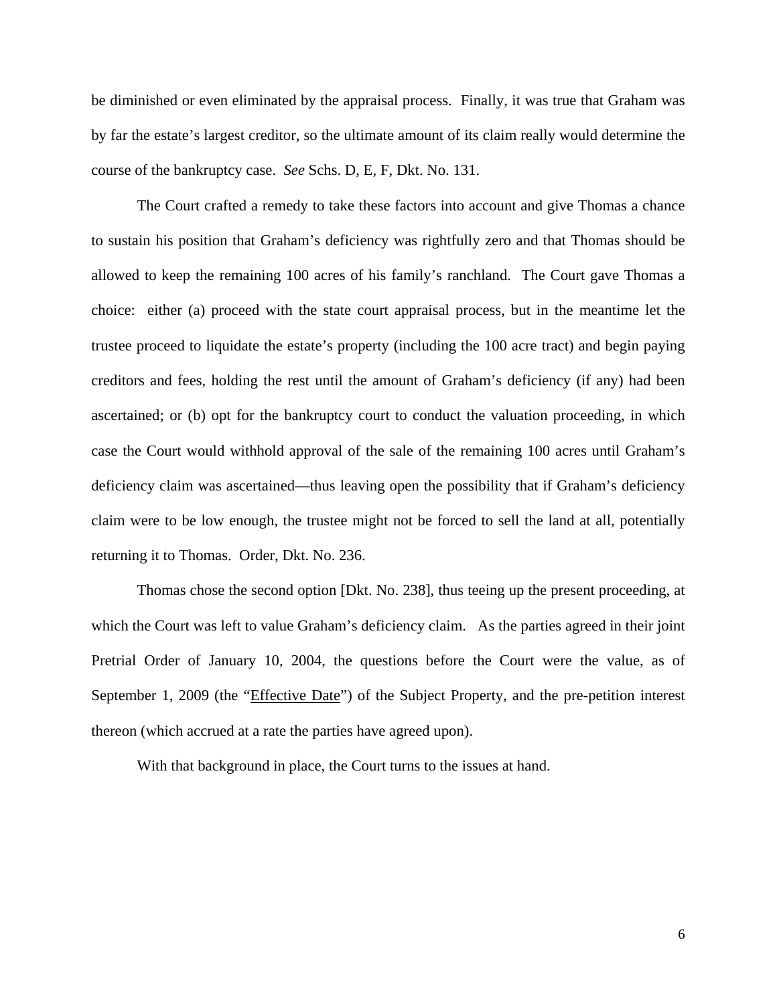be diminished or even eliminated by the appraisal process. Finally, it was true that Graham was by far the estate's largest creditor, so the ultimate amount of its claim really would determine the course of the bankruptcy case. *See* Schs. D, E, F, Dkt. No. 131.

The Court crafted a remedy to take these factors into account and give Thomas a chance to sustain his position that Graham's deficiency was rightfully zero and that Thomas should be allowed to keep the remaining 100 acres of his family's ranchland. The Court gave Thomas a choice: either (a) proceed with the state court appraisal process, but in the meantime let the trustee proceed to liquidate the estate's property (including the 100 acre tract) and begin paying creditors and fees, holding the rest until the amount of Graham's deficiency (if any) had been ascertained; or (b) opt for the bankruptcy court to conduct the valuation proceeding, in which case the Court would withhold approval of the sale of the remaining 100 acres until Graham's deficiency claim was ascertained—thus leaving open the possibility that if Graham's deficiency claim were to be low enough, the trustee might not be forced to sell the land at all, potentially returning it to Thomas. Order, Dkt. No. 236.

Thomas chose the second option [Dkt. No. 238], thus teeing up the present proceeding, at which the Court was left to value Graham's deficiency claim. As the parties agreed in their joint Pretrial Order of January 10, 2004, the questions before the Court were the value, as of September 1, 2009 (the "Effective Date") of the Subject Property, and the pre-petition interest thereon (which accrued at a rate the parties have agreed upon).

With that background in place, the Court turns to the issues at hand.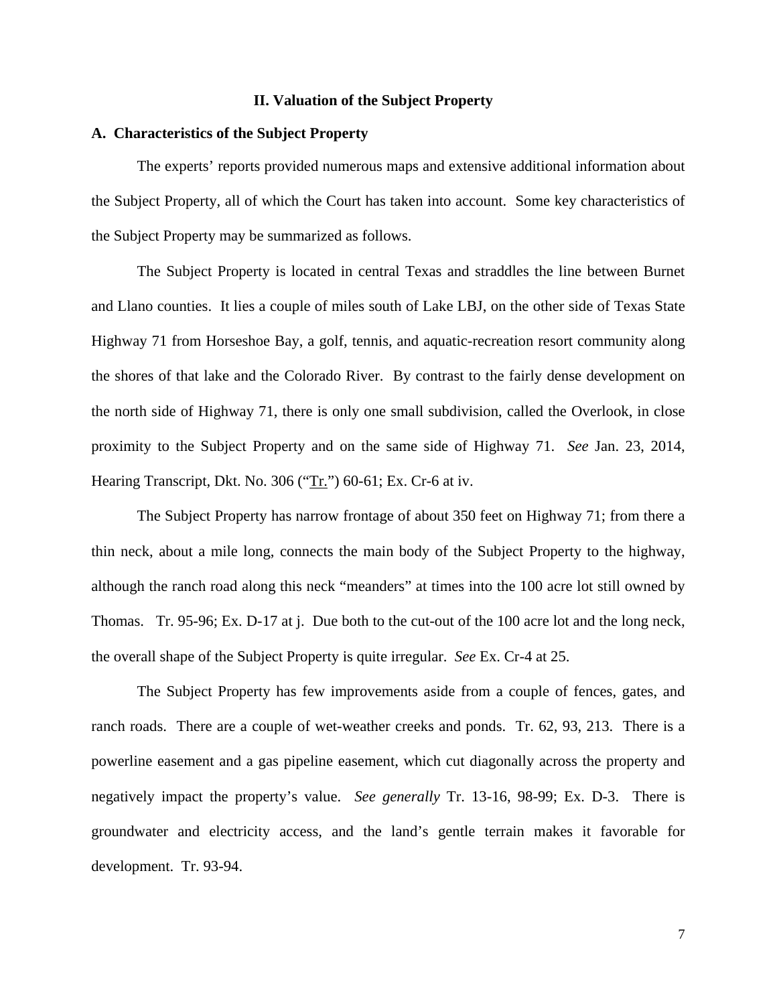# **II. Valuation of the Subject Property**

### **A. Characteristics of the Subject Property**

The experts' reports provided numerous maps and extensive additional information about the Subject Property, all of which the Court has taken into account. Some key characteristics of the Subject Property may be summarized as follows.

The Subject Property is located in central Texas and straddles the line between Burnet and Llano counties. It lies a couple of miles south of Lake LBJ, on the other side of Texas State Highway 71 from Horseshoe Bay, a golf, tennis, and aquatic-recreation resort community along the shores of that lake and the Colorado River. By contrast to the fairly dense development on the north side of Highway 71, there is only one small subdivision, called the Overlook, in close proximity to the Subject Property and on the same side of Highway 71. *See* Jan. 23, 2014, Hearing Transcript, Dkt. No. 306 ("Tr.") 60-61; Ex. Cr-6 at iv.

The Subject Property has narrow frontage of about 350 feet on Highway 71; from there a thin neck, about a mile long, connects the main body of the Subject Property to the highway, although the ranch road along this neck "meanders" at times into the 100 acre lot still owned by Thomas. Tr. 95-96; Ex. D-17 at j. Due both to the cut-out of the 100 acre lot and the long neck, the overall shape of the Subject Property is quite irregular. *See* Ex. Cr-4 at 25.

The Subject Property has few improvements aside from a couple of fences, gates, and ranch roads. There are a couple of wet-weather creeks and ponds. Tr. 62, 93, 213. There is a powerline easement and a gas pipeline easement, which cut diagonally across the property and negatively impact the property's value. *See generally* Tr. 13-16, 98-99; Ex. D-3. There is groundwater and electricity access, and the land's gentle terrain makes it favorable for development. Tr. 93-94.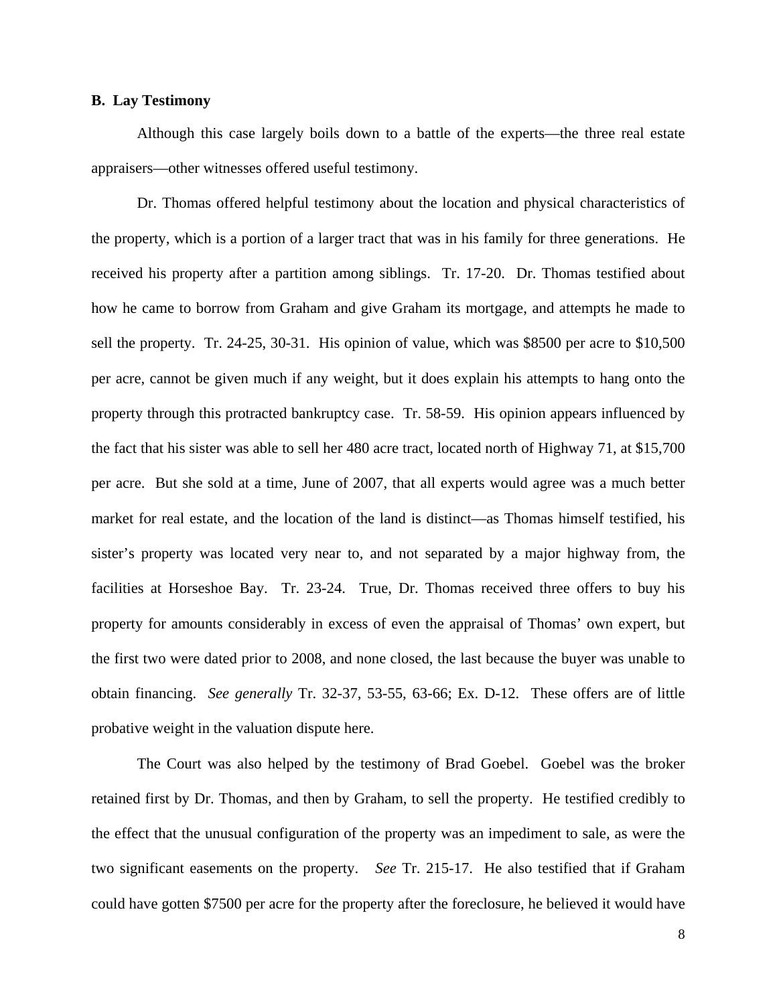# **B. Lay Testimony**

Although this case largely boils down to a battle of the experts—the three real estate appraisers—other witnesses offered useful testimony.

Dr. Thomas offered helpful testimony about the location and physical characteristics of the property, which is a portion of a larger tract that was in his family for three generations. He received his property after a partition among siblings. Tr. 17-20. Dr. Thomas testified about how he came to borrow from Graham and give Graham its mortgage, and attempts he made to sell the property. Tr. 24-25, 30-31. His opinion of value, which was \$8500 per acre to \$10,500 per acre, cannot be given much if any weight, but it does explain his attempts to hang onto the property through this protracted bankruptcy case. Tr. 58-59. His opinion appears influenced by the fact that his sister was able to sell her 480 acre tract, located north of Highway 71, at \$15,700 per acre. But she sold at a time, June of 2007, that all experts would agree was a much better market for real estate, and the location of the land is distinct—as Thomas himself testified, his sister's property was located very near to, and not separated by a major highway from, the facilities at Horseshoe Bay. Tr. 23-24. True, Dr. Thomas received three offers to buy his property for amounts considerably in excess of even the appraisal of Thomas' own expert, but the first two were dated prior to 2008, and none closed, the last because the buyer was unable to obtain financing. *See generally* Tr. 32-37, 53-55, 63-66; Ex. D-12. These offers are of little probative weight in the valuation dispute here.

The Court was also helped by the testimony of Brad Goebel. Goebel was the broker retained first by Dr. Thomas, and then by Graham, to sell the property. He testified credibly to the effect that the unusual configuration of the property was an impediment to sale, as were the two significant easements on the property. *See* Tr. 215-17. He also testified that if Graham could have gotten \$7500 per acre for the property after the foreclosure, he believed it would have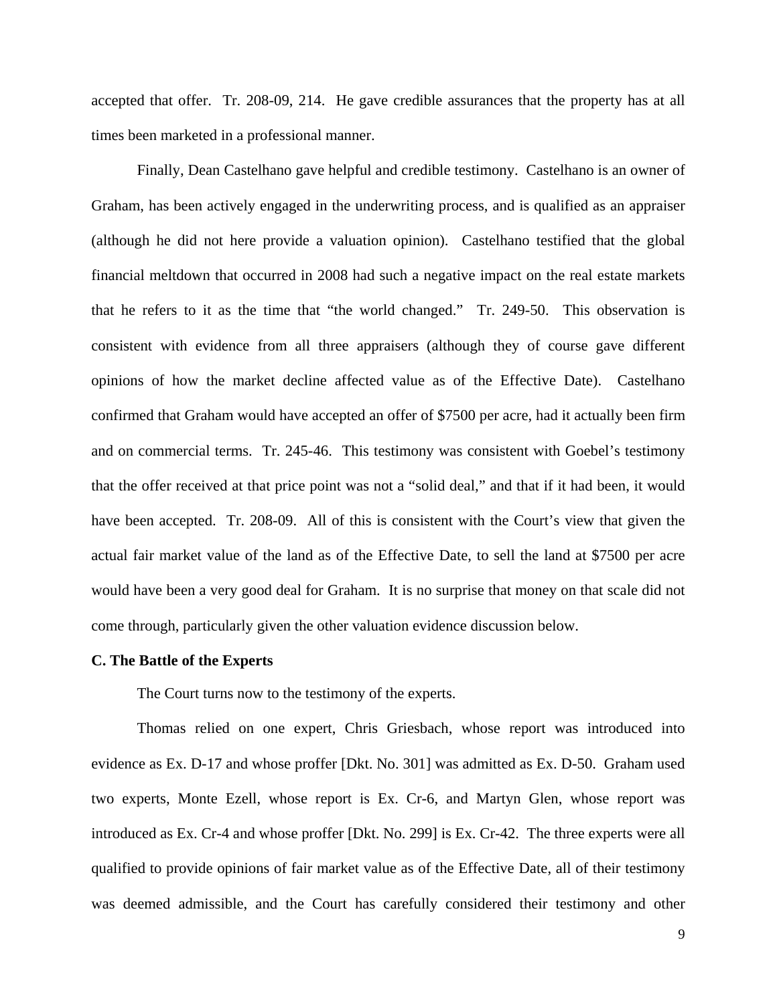accepted that offer. Tr. 208-09, 214. He gave credible assurances that the property has at all times been marketed in a professional manner.

Finally, Dean Castelhano gave helpful and credible testimony. Castelhano is an owner of Graham, has been actively engaged in the underwriting process, and is qualified as an appraiser (although he did not here provide a valuation opinion). Castelhano testified that the global financial meltdown that occurred in 2008 had such a negative impact on the real estate markets that he refers to it as the time that "the world changed." Tr. 249-50. This observation is consistent with evidence from all three appraisers (although they of course gave different opinions of how the market decline affected value as of the Effective Date). Castelhano confirmed that Graham would have accepted an offer of \$7500 per acre, had it actually been firm and on commercial terms. Tr. 245-46. This testimony was consistent with Goebel's testimony that the offer received at that price point was not a "solid deal," and that if it had been, it would have been accepted. Tr. 208-09. All of this is consistent with the Court's view that given the actual fair market value of the land as of the Effective Date, to sell the land at \$7500 per acre would have been a very good deal for Graham. It is no surprise that money on that scale did not come through, particularly given the other valuation evidence discussion below.

#### **C. The Battle of the Experts**

The Court turns now to the testimony of the experts.

Thomas relied on one expert, Chris Griesbach, whose report was introduced into evidence as Ex. D-17 and whose proffer [Dkt. No. 301] was admitted as Ex. D-50. Graham used two experts, Monte Ezell, whose report is Ex. Cr-6, and Martyn Glen, whose report was introduced as Ex. Cr-4 and whose proffer [Dkt. No. 299] is Ex. Cr-42. The three experts were all qualified to provide opinions of fair market value as of the Effective Date, all of their testimony was deemed admissible, and the Court has carefully considered their testimony and other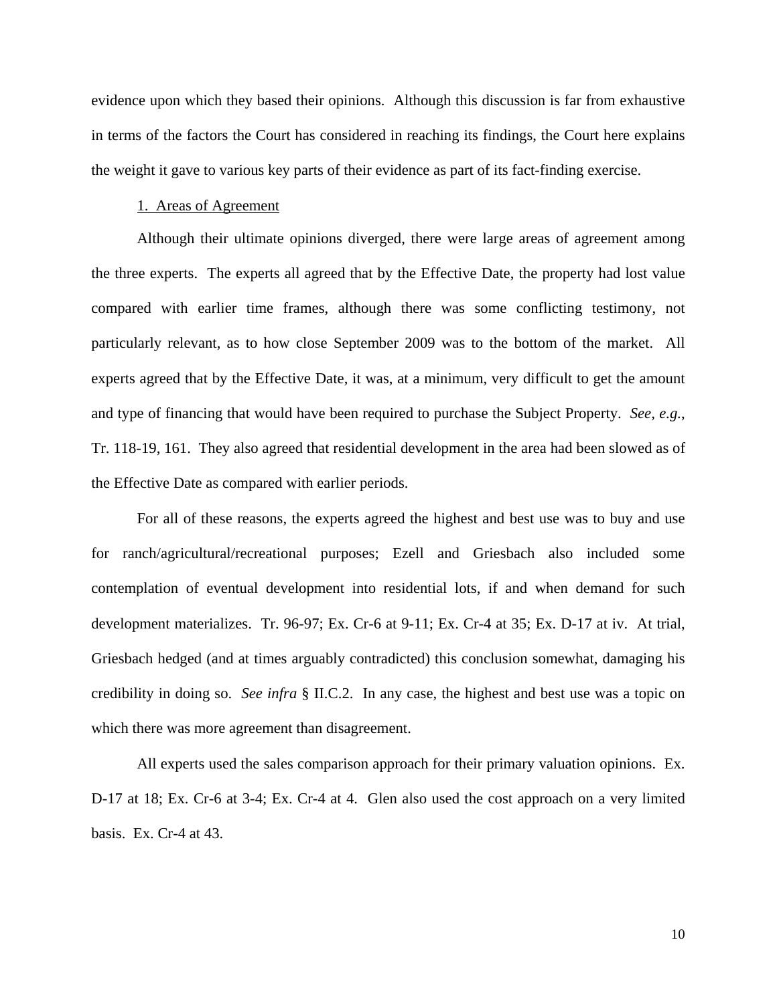evidence upon which they based their opinions. Although this discussion is far from exhaustive in terms of the factors the Court has considered in reaching its findings, the Court here explains the weight it gave to various key parts of their evidence as part of its fact-finding exercise.

# 1. Areas of Agreement

Although their ultimate opinions diverged, there were large areas of agreement among the three experts. The experts all agreed that by the Effective Date, the property had lost value compared with earlier time frames, although there was some conflicting testimony, not particularly relevant, as to how close September 2009 was to the bottom of the market. All experts agreed that by the Effective Date, it was, at a minimum, very difficult to get the amount and type of financing that would have been required to purchase the Subject Property. *See, e.g.*, Tr. 118-19, 161. They also agreed that residential development in the area had been slowed as of the Effective Date as compared with earlier periods.

For all of these reasons, the experts agreed the highest and best use was to buy and use for ranch/agricultural/recreational purposes; Ezell and Griesbach also included some contemplation of eventual development into residential lots, if and when demand for such development materializes. Tr. 96-97; Ex. Cr-6 at 9-11; Ex. Cr-4 at 35; Ex. D-17 at iv. At trial, Griesbach hedged (and at times arguably contradicted) this conclusion somewhat, damaging his credibility in doing so. *See infra* § II.C.2. In any case, the highest and best use was a topic on which there was more agreement than disagreement.

All experts used the sales comparison approach for their primary valuation opinions. Ex. D-17 at 18; Ex. Cr-6 at 3-4; Ex. Cr-4 at 4. Glen also used the cost approach on a very limited basis. Ex. Cr-4 at 43.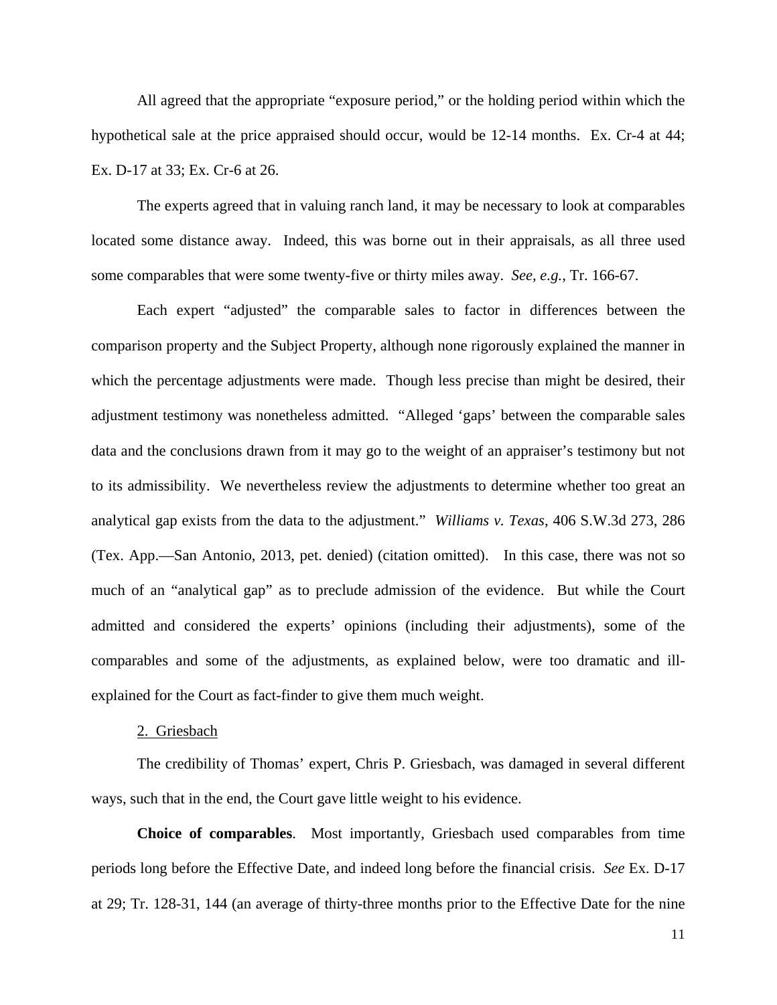All agreed that the appropriate "exposure period," or the holding period within which the hypothetical sale at the price appraised should occur, would be 12-14 months. Ex. Cr-4 at 44; Ex. D-17 at 33; Ex. Cr-6 at 26.

The experts agreed that in valuing ranch land, it may be necessary to look at comparables located some distance away. Indeed, this was borne out in their appraisals, as all three used some comparables that were some twenty-five or thirty miles away. *See, e.g.*, Tr. 166-67.

Each expert "adjusted" the comparable sales to factor in differences between the comparison property and the Subject Property, although none rigorously explained the manner in which the percentage adjustments were made. Though less precise than might be desired, their adjustment testimony was nonetheless admitted. "Alleged 'gaps' between the comparable sales data and the conclusions drawn from it may go to the weight of an appraiser's testimony but not to its admissibility. We nevertheless review the adjustments to determine whether too great an analytical gap exists from the data to the adjustment." *Williams v. Texas*, 406 S.W.3d 273, 286 (Tex. App.—San Antonio, 2013, pet. denied) (citation omitted). In this case, there was not so much of an "analytical gap" as to preclude admission of the evidence. But while the Court admitted and considered the experts' opinions (including their adjustments), some of the comparables and some of the adjustments, as explained below, were too dramatic and illexplained for the Court as fact-finder to give them much weight.

## 2. Griesbach

The credibility of Thomas' expert, Chris P. Griesbach, was damaged in several different ways, such that in the end, the Court gave little weight to his evidence.

**Choice of comparables**. Most importantly, Griesbach used comparables from time periods long before the Effective Date, and indeed long before the financial crisis. *See* Ex. D-17 at 29; Tr. 128-31, 144 (an average of thirty-three months prior to the Effective Date for the nine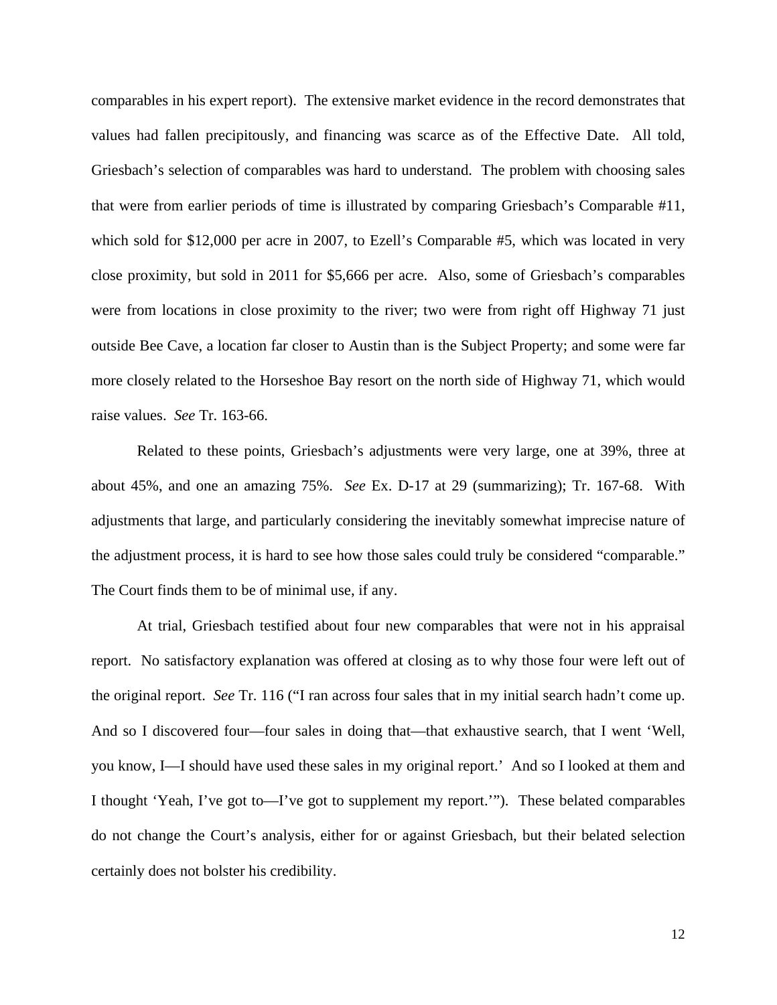comparables in his expert report). The extensive market evidence in the record demonstrates that values had fallen precipitously, and financing was scarce as of the Effective Date. All told, Griesbach's selection of comparables was hard to understand. The problem with choosing sales that were from earlier periods of time is illustrated by comparing Griesbach's Comparable #11, which sold for \$12,000 per acre in 2007, to Ezell's Comparable #5, which was located in very close proximity, but sold in 2011 for \$5,666 per acre. Also, some of Griesbach's comparables were from locations in close proximity to the river; two were from right off Highway 71 just outside Bee Cave, a location far closer to Austin than is the Subject Property; and some were far more closely related to the Horseshoe Bay resort on the north side of Highway 71, which would raise values. *See* Tr. 163-66.

Related to these points, Griesbach's adjustments were very large, one at 39%, three at about 45%, and one an amazing 75%. *See* Ex. D-17 at 29 (summarizing); Tr. 167-68. With adjustments that large, and particularly considering the inevitably somewhat imprecise nature of the adjustment process, it is hard to see how those sales could truly be considered "comparable." The Court finds them to be of minimal use, if any.

At trial, Griesbach testified about four new comparables that were not in his appraisal report. No satisfactory explanation was offered at closing as to why those four were left out of the original report. *See* Tr. 116 ("I ran across four sales that in my initial search hadn't come up. And so I discovered four—four sales in doing that—that exhaustive search, that I went 'Well, you know, I—I should have used these sales in my original report.' And so I looked at them and I thought 'Yeah, I've got to—I've got to supplement my report.'"). These belated comparables do not change the Court's analysis, either for or against Griesbach, but their belated selection certainly does not bolster his credibility.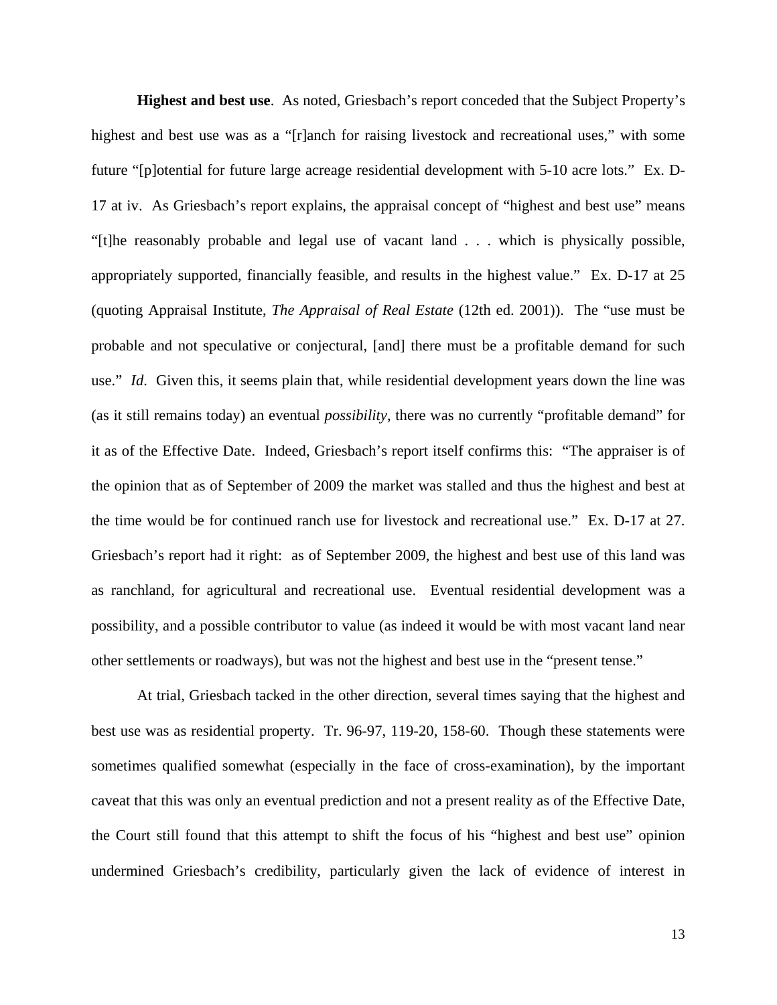**Highest and best use**. As noted, Griesbach's report conceded that the Subject Property's highest and best use was as a "[r]anch for raising livestock and recreational uses," with some future "[p]otential for future large acreage residential development with 5-10 acre lots." Ex. D-17 at iv. As Griesbach's report explains, the appraisal concept of "highest and best use" means "[t]he reasonably probable and legal use of vacant land . . . which is physically possible, appropriately supported, financially feasible, and results in the highest value." Ex. D-17 at 25 (quoting Appraisal Institute, *The Appraisal of Real Estate* (12th ed. 2001)). The "use must be probable and not speculative or conjectural, [and] there must be a profitable demand for such use." *Id*. Given this, it seems plain that, while residential development years down the line was (as it still remains today) an eventual *possibility*, there was no currently "profitable demand" for it as of the Effective Date. Indeed, Griesbach's report itself confirms this: "The appraiser is of the opinion that as of September of 2009 the market was stalled and thus the highest and best at the time would be for continued ranch use for livestock and recreational use." Ex. D-17 at 27. Griesbach's report had it right: as of September 2009, the highest and best use of this land was as ranchland, for agricultural and recreational use. Eventual residential development was a possibility, and a possible contributor to value (as indeed it would be with most vacant land near other settlements or roadways), but was not the highest and best use in the "present tense."

At trial, Griesbach tacked in the other direction, several times saying that the highest and best use was as residential property. Tr. 96-97, 119-20, 158-60. Though these statements were sometimes qualified somewhat (especially in the face of cross-examination), by the important caveat that this was only an eventual prediction and not a present reality as of the Effective Date, the Court still found that this attempt to shift the focus of his "highest and best use" opinion undermined Griesbach's credibility, particularly given the lack of evidence of interest in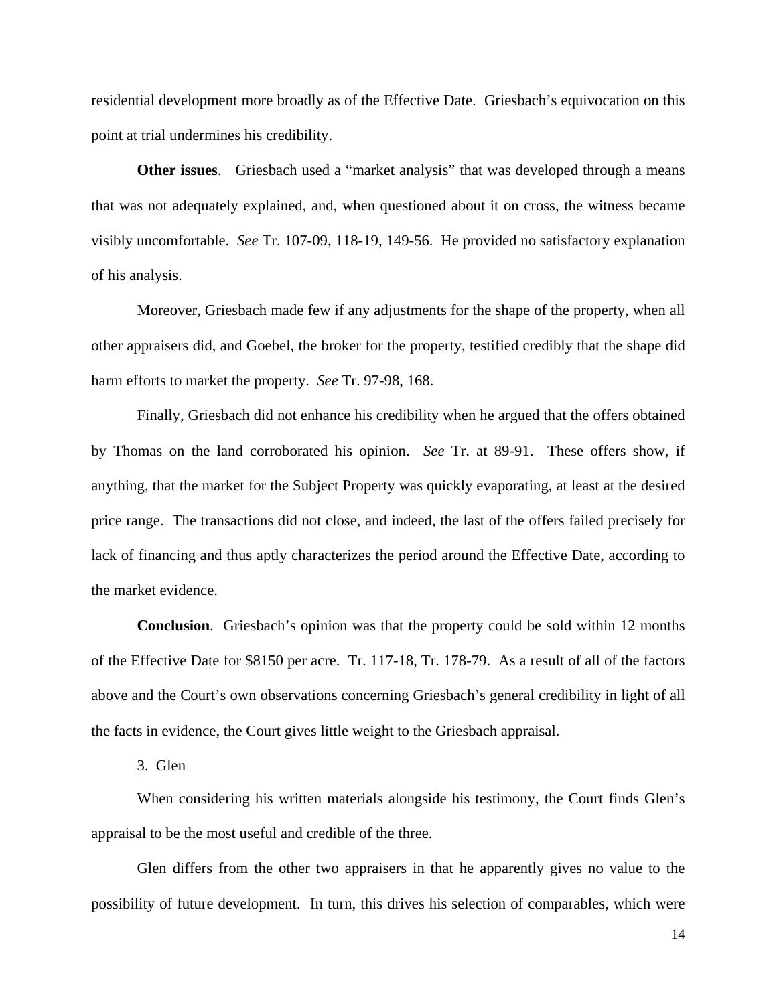residential development more broadly as of the Effective Date. Griesbach's equivocation on this point at trial undermines his credibility.

**Other issues**. Griesbach used a "market analysis" that was developed through a means that was not adequately explained, and, when questioned about it on cross, the witness became visibly uncomfortable. *See* Tr. 107-09, 118-19, 149-56. He provided no satisfactory explanation of his analysis.

Moreover, Griesbach made few if any adjustments for the shape of the property, when all other appraisers did, and Goebel, the broker for the property, testified credibly that the shape did harm efforts to market the property. *See* Tr. 97-98, 168.

Finally, Griesbach did not enhance his credibility when he argued that the offers obtained by Thomas on the land corroborated his opinion. *See* Tr. at 89-91. These offers show, if anything, that the market for the Subject Property was quickly evaporating, at least at the desired price range. The transactions did not close, and indeed, the last of the offers failed precisely for lack of financing and thus aptly characterizes the period around the Effective Date, according to the market evidence.

**Conclusion**. Griesbach's opinion was that the property could be sold within 12 months of the Effective Date for \$8150 per acre. Tr. 117-18, Tr. 178-79. As a result of all of the factors above and the Court's own observations concerning Griesbach's general credibility in light of all the facts in evidence, the Court gives little weight to the Griesbach appraisal.

## 3. Glen

When considering his written materials alongside his testimony, the Court finds Glen's appraisal to be the most useful and credible of the three.

Glen differs from the other two appraisers in that he apparently gives no value to the possibility of future development. In turn, this drives his selection of comparables, which were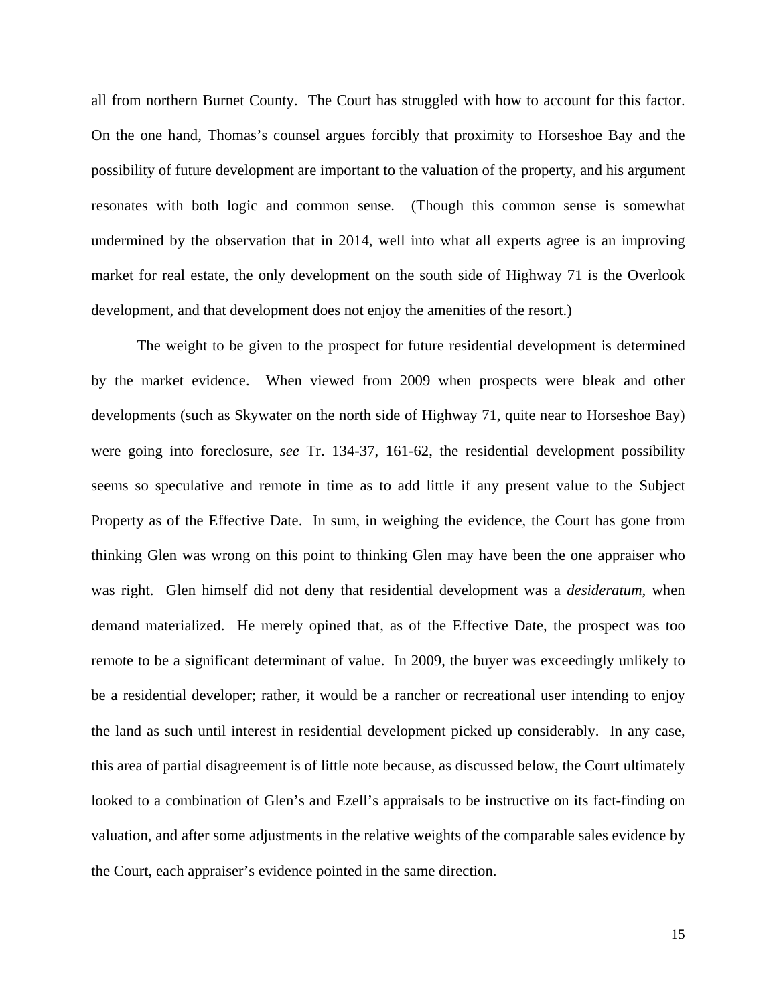all from northern Burnet County. The Court has struggled with how to account for this factor. On the one hand, Thomas's counsel argues forcibly that proximity to Horseshoe Bay and the possibility of future development are important to the valuation of the property, and his argument resonates with both logic and common sense. (Though this common sense is somewhat undermined by the observation that in 2014, well into what all experts agree is an improving market for real estate, the only development on the south side of Highway 71 is the Overlook development, and that development does not enjoy the amenities of the resort.)

The weight to be given to the prospect for future residential development is determined by the market evidence. When viewed from 2009 when prospects were bleak and other developments (such as Skywater on the north side of Highway 71, quite near to Horseshoe Bay) were going into foreclosure, *see* Tr. 134-37, 161-62, the residential development possibility seems so speculative and remote in time as to add little if any present value to the Subject Property as of the Effective Date. In sum, in weighing the evidence, the Court has gone from thinking Glen was wrong on this point to thinking Glen may have been the one appraiser who was right. Glen himself did not deny that residential development was a *desideratum*, when demand materialized. He merely opined that, as of the Effective Date, the prospect was too remote to be a significant determinant of value. In 2009, the buyer was exceedingly unlikely to be a residential developer; rather, it would be a rancher or recreational user intending to enjoy the land as such until interest in residential development picked up considerably. In any case, this area of partial disagreement is of little note because, as discussed below, the Court ultimately looked to a combination of Glen's and Ezell's appraisals to be instructive on its fact-finding on valuation, and after some adjustments in the relative weights of the comparable sales evidence by the Court, each appraiser's evidence pointed in the same direction.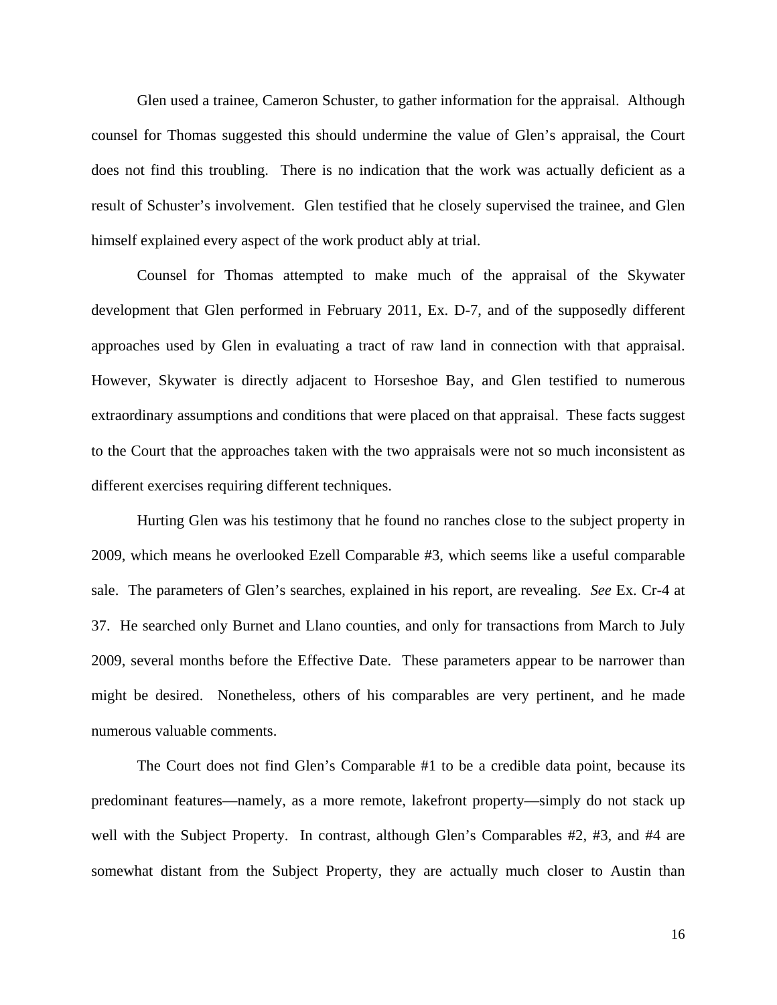Glen used a trainee, Cameron Schuster, to gather information for the appraisal. Although counsel for Thomas suggested this should undermine the value of Glen's appraisal, the Court does not find this troubling. There is no indication that the work was actually deficient as a result of Schuster's involvement. Glen testified that he closely supervised the trainee, and Glen himself explained every aspect of the work product ably at trial.

Counsel for Thomas attempted to make much of the appraisal of the Skywater development that Glen performed in February 2011, Ex. D-7, and of the supposedly different approaches used by Glen in evaluating a tract of raw land in connection with that appraisal. However, Skywater is directly adjacent to Horseshoe Bay, and Glen testified to numerous extraordinary assumptions and conditions that were placed on that appraisal. These facts suggest to the Court that the approaches taken with the two appraisals were not so much inconsistent as different exercises requiring different techniques.

Hurting Glen was his testimony that he found no ranches close to the subject property in 2009, which means he overlooked Ezell Comparable #3, which seems like a useful comparable sale. The parameters of Glen's searches, explained in his report, are revealing. *See* Ex. Cr-4 at 37. He searched only Burnet and Llano counties, and only for transactions from March to July 2009, several months before the Effective Date. These parameters appear to be narrower than might be desired. Nonetheless, others of his comparables are very pertinent, and he made numerous valuable comments.

The Court does not find Glen's Comparable #1 to be a credible data point, because its predominant features—namely, as a more remote, lakefront property—simply do not stack up well with the Subject Property. In contrast, although Glen's Comparables #2, #3, and #4 are somewhat distant from the Subject Property, they are actually much closer to Austin than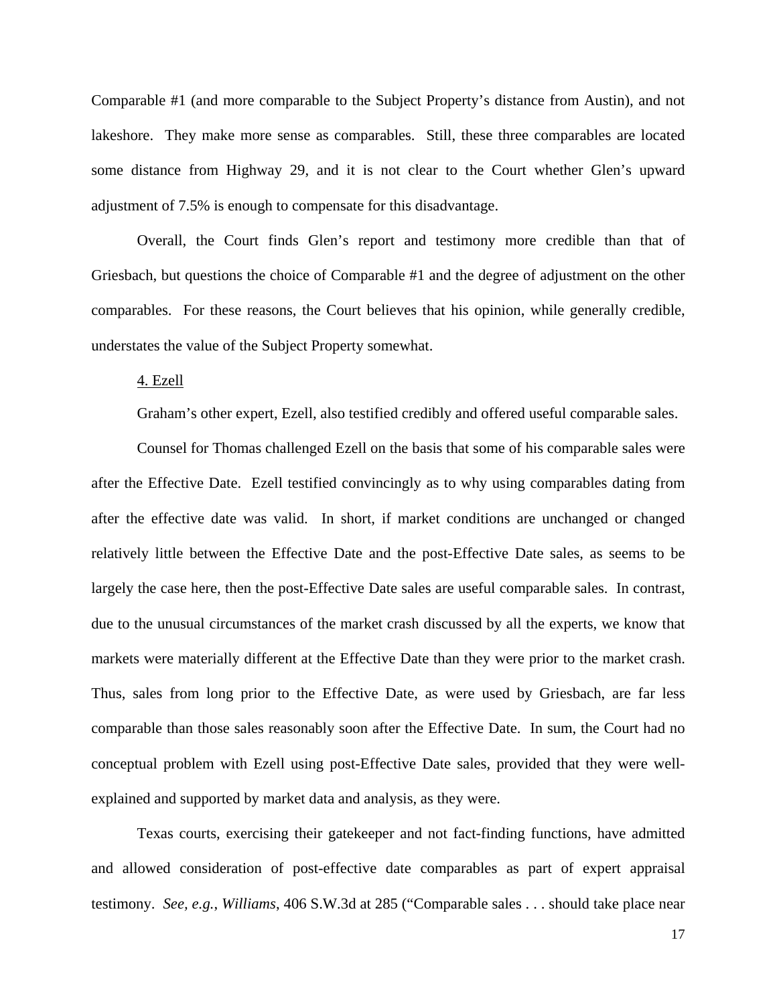Comparable #1 (and more comparable to the Subject Property's distance from Austin), and not lakeshore. They make more sense as comparables. Still, these three comparables are located some distance from Highway 29, and it is not clear to the Court whether Glen's upward adjustment of 7.5% is enough to compensate for this disadvantage.

Overall, the Court finds Glen's report and testimony more credible than that of Griesbach, but questions the choice of Comparable #1 and the degree of adjustment on the other comparables. For these reasons, the Court believes that his opinion, while generally credible, understates the value of the Subject Property somewhat.

#### 4. Ezell

Graham's other expert, Ezell, also testified credibly and offered useful comparable sales.

Counsel for Thomas challenged Ezell on the basis that some of his comparable sales were after the Effective Date. Ezell testified convincingly as to why using comparables dating from after the effective date was valid. In short, if market conditions are unchanged or changed relatively little between the Effective Date and the post-Effective Date sales, as seems to be largely the case here, then the post-Effective Date sales are useful comparable sales. In contrast, due to the unusual circumstances of the market crash discussed by all the experts, we know that markets were materially different at the Effective Date than they were prior to the market crash. Thus, sales from long prior to the Effective Date, as were used by Griesbach, are far less comparable than those sales reasonably soon after the Effective Date. In sum, the Court had no conceptual problem with Ezell using post-Effective Date sales, provided that they were wellexplained and supported by market data and analysis, as they were.

Texas courts, exercising their gatekeeper and not fact-finding functions, have admitted and allowed consideration of post-effective date comparables as part of expert appraisal testimony. *See, e.g.*, *Williams*, 406 S.W.3d at 285 ("Comparable sales . . . should take place near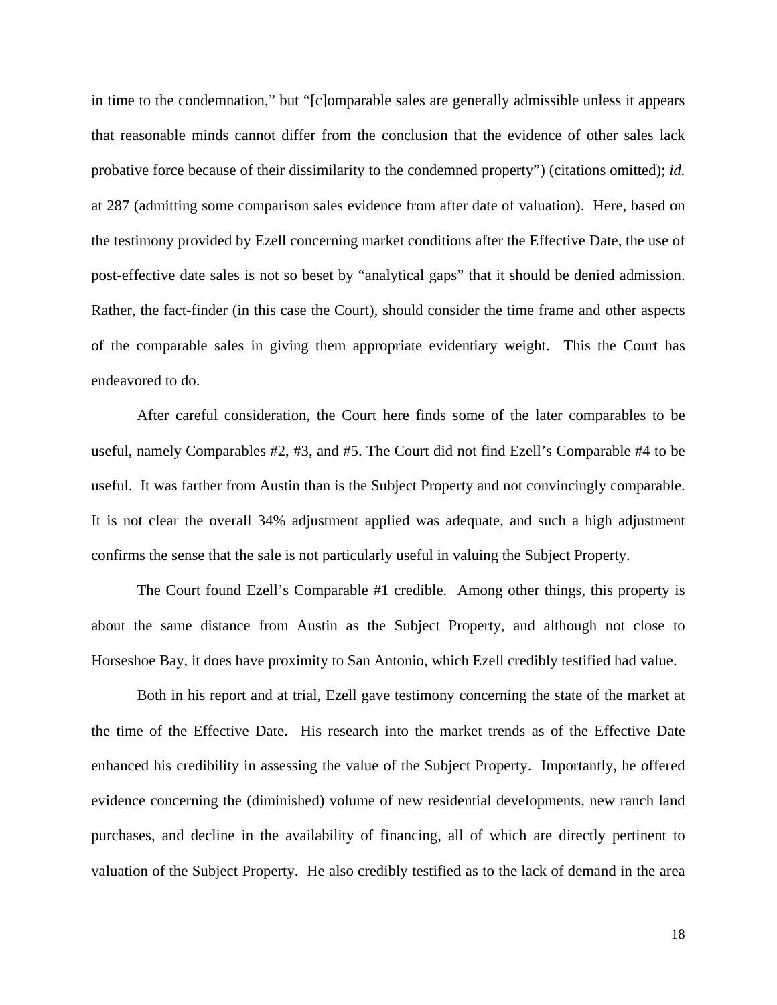in time to the condemnation," but "[c]omparable sales are generally admissible unless it appears that reasonable minds cannot differ from the conclusion that the evidence of other sales lack probative force because of their dissimilarity to the condemned property") (citations omitted); *id.* at 287 (admitting some comparison sales evidence from after date of valuation). Here, based on the testimony provided by Ezell concerning market conditions after the Effective Date, the use of post-effective date sales is not so beset by "analytical gaps" that it should be denied admission. Rather, the fact-finder (in this case the Court), should consider the time frame and other aspects of the comparable sales in giving them appropriate evidentiary weight. This the Court has endeavored to do.

After careful consideration, the Court here finds some of the later comparables to be useful, namely Comparables #2, #3, and #5. The Court did not find Ezell's Comparable #4 to be useful. It was farther from Austin than is the Subject Property and not convincingly comparable. It is not clear the overall 34% adjustment applied was adequate, and such a high adjustment confirms the sense that the sale is not particularly useful in valuing the Subject Property.

The Court found Ezell's Comparable #1 credible. Among other things, this property is about the same distance from Austin as the Subject Property, and although not close to Horseshoe Bay, it does have proximity to San Antonio, which Ezell credibly testified had value.

Both in his report and at trial, Ezell gave testimony concerning the state of the market at the time of the Effective Date. His research into the market trends as of the Effective Date enhanced his credibility in assessing the value of the Subject Property. Importantly, he offered evidence concerning the (diminished) volume of new residential developments, new ranch land purchases, and decline in the availability of financing, all of which are directly pertinent to valuation of the Subject Property. He also credibly testified as to the lack of demand in the area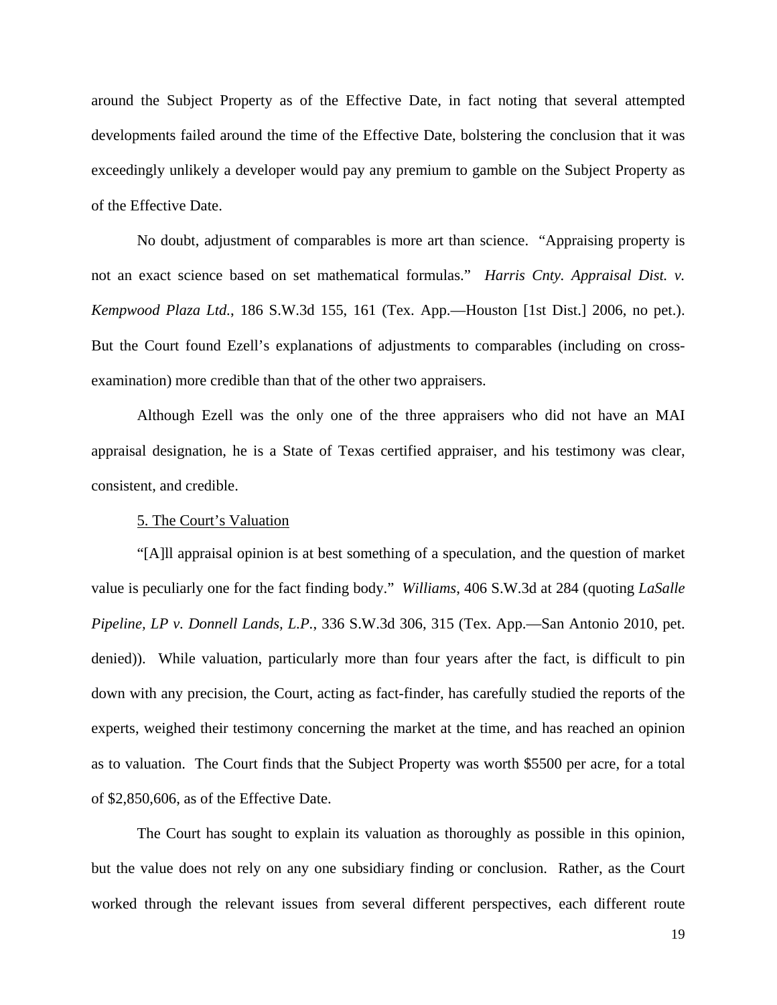around the Subject Property as of the Effective Date, in fact noting that several attempted developments failed around the time of the Effective Date, bolstering the conclusion that it was exceedingly unlikely a developer would pay any premium to gamble on the Subject Property as of the Effective Date.

No doubt, adjustment of comparables is more art than science. "Appraising property is not an exact science based on set mathematical formulas." *Harris Cnty. Appraisal Dist. v. Kempwood Plaza Ltd.*, 186 S.W.3d 155, 161 (Tex. App.—Houston [1st Dist.] 2006, no pet.). But the Court found Ezell's explanations of adjustments to comparables (including on crossexamination) more credible than that of the other two appraisers.

Although Ezell was the only one of the three appraisers who did not have an MAI appraisal designation, he is a State of Texas certified appraiser, and his testimony was clear, consistent, and credible.

# 5. The Court's Valuation

"[A]ll appraisal opinion is at best something of a speculation, and the question of market value is peculiarly one for the fact finding body." *Williams*, 406 S.W.3d at 284 (quoting *LaSalle Pipeline, LP v. Donnell Lands, L.P.*, 336 S.W.3d 306, 315 (Tex. App.—San Antonio 2010, pet. denied)). While valuation, particularly more than four years after the fact, is difficult to pin down with any precision, the Court, acting as fact-finder, has carefully studied the reports of the experts, weighed their testimony concerning the market at the time, and has reached an opinion as to valuation. The Court finds that the Subject Property was worth \$5500 per acre, for a total of \$2,850,606, as of the Effective Date.

The Court has sought to explain its valuation as thoroughly as possible in this opinion, but the value does not rely on any one subsidiary finding or conclusion. Rather, as the Court worked through the relevant issues from several different perspectives, each different route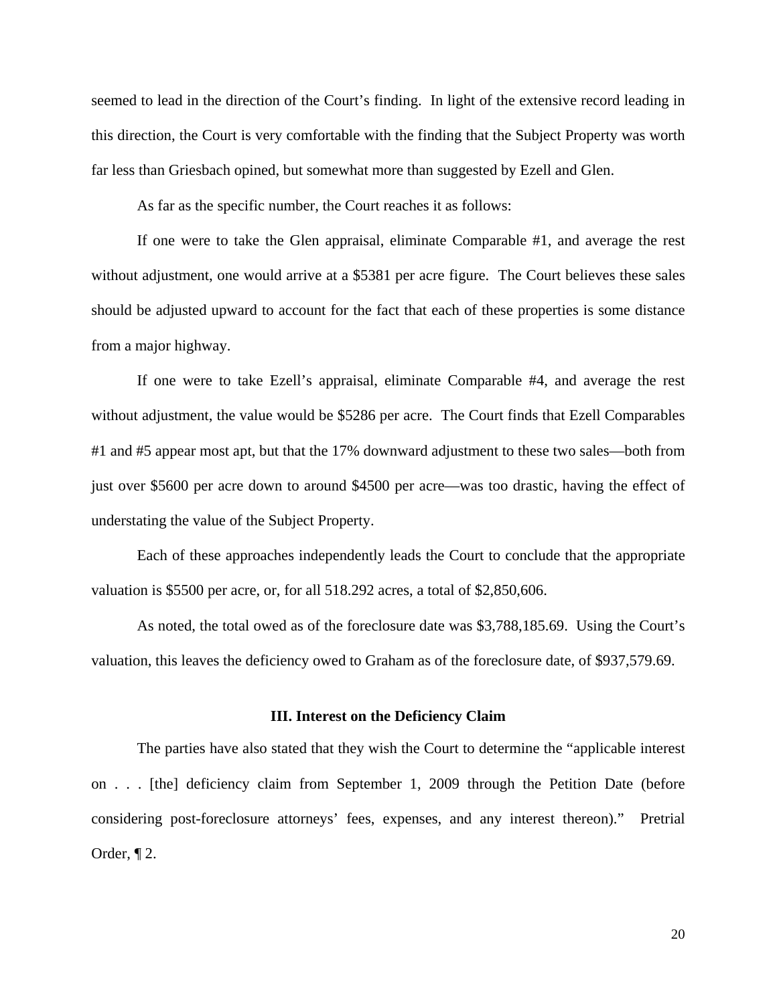seemed to lead in the direction of the Court's finding. In light of the extensive record leading in this direction, the Court is very comfortable with the finding that the Subject Property was worth far less than Griesbach opined, but somewhat more than suggested by Ezell and Glen.

As far as the specific number, the Court reaches it as follows:

If one were to take the Glen appraisal, eliminate Comparable #1, and average the rest without adjustment, one would arrive at a \$5381 per acre figure. The Court believes these sales should be adjusted upward to account for the fact that each of these properties is some distance from a major highway.

If one were to take Ezell's appraisal, eliminate Comparable #4, and average the rest without adjustment, the value would be \$5286 per acre. The Court finds that Ezell Comparables #1 and #5 appear most apt, but that the 17% downward adjustment to these two sales—both from just over \$5600 per acre down to around \$4500 per acre—was too drastic, having the effect of understating the value of the Subject Property.

Each of these approaches independently leads the Court to conclude that the appropriate valuation is \$5500 per acre, or, for all 518.292 acres, a total of \$2,850,606.

As noted, the total owed as of the foreclosure date was \$3,788,185.69. Using the Court's valuation, this leaves the deficiency owed to Graham as of the foreclosure date, of \$937,579.69.

## **III. Interest on the Deficiency Claim**

The parties have also stated that they wish the Court to determine the "applicable interest on . . . [the] deficiency claim from September 1, 2009 through the Petition Date (before considering post-foreclosure attorneys' fees, expenses, and any interest thereon)." Pretrial Order, ¶ 2.